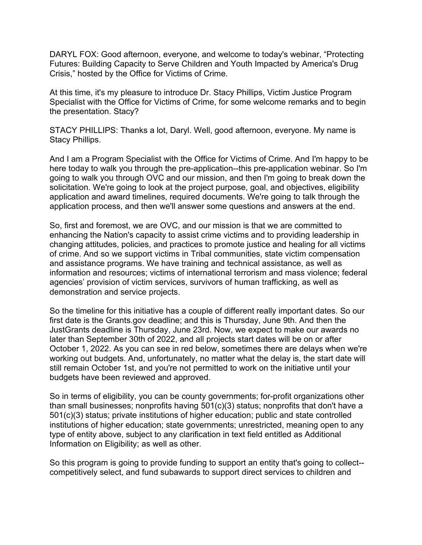DARYL FOX: Good afternoon, everyone, and welcome to today's webinar, "Protecting Futures: Building Capacity to Serve Children and Youth Impacted by America's Drug Crisis," hosted by the Office for Victims of Crime.

At this time, it's my pleasure to introduce Dr. Stacy Phillips, Victim Justice Program Specialist with the Office for Victims of Crime, for some welcome remarks and to begin the presentation. Stacy?

STACY PHILLIPS: Thanks a lot, Daryl. Well, good afternoon, everyone. My name is Stacy Phillips.

And I am a Program Specialist with the Office for Victims of Crime. And I'm happy to be here today to walk you through the pre-application--this pre-application webinar. So I'm going to walk you through OVC and our mission, and then I'm going to break down the solicitation. We're going to look at the project purpose, goal, and objectives, eligibility application and award timelines, required documents. We're going to talk through the application process, and then we'll answer some questions and answers at the end.

So, first and foremost, we are OVC, and our mission is that we are committed to enhancing the Nation's capacity to assist crime victims and to providing leadership in changing attitudes, policies, and practices to promote justice and healing for all victims of crime. And so we support victims in Tribal communities, state victim compensation and assistance programs. We have training and technical assistance, as well as information and resources; victims of international terrorism and mass violence; federal agencies' provision of victim services, survivors of human trafficking, as well as demonstration and service projects.

So the timeline for this initiative has a couple of different really important dates. So our first date is the Grants.gov deadline; and this is Thursday, June 9th. And then the JustGrants deadline is Thursday, June 23rd. Now, we expect to make our awards no later than September 30th of 2022, and all projects start dates will be on or after October 1, 2022. As you can see in red below, sometimes there are delays when we're working out budgets. And, unfortunately, no matter what the delay is, the start date will still remain October 1st, and you're not permitted to work on the initiative until your budgets have been reviewed and approved.

So in terms of eligibility, you can be county governments; for-profit organizations other than small businesses; nonprofits having 501(c)(3) status; nonprofits that don't have a 501(c)(3) status; private institutions of higher education; public and state controlled institutions of higher education; state governments; unrestricted, meaning open to any type of entity above, subject to any clarification in text field entitled as Additional Information on Eligibility; as well as other.

So this program is going to provide funding to support an entity that's going to collect- competitively select, and fund subawards to support direct services to children and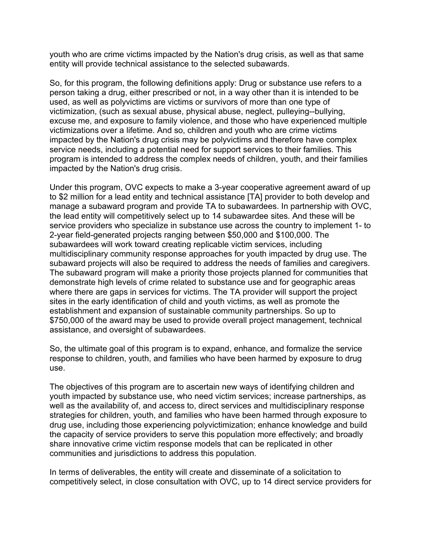youth who are crime victims impacted by the Nation's drug crisis, as well as that same entity will provide technical assistance to the selected subawards.

So, for this program, the following definitions apply: Drug or substance use refers to a person taking a drug, either prescribed or not, in a way other than it is intended to be used, as well as polyvictims are victims or survivors of more than one type of victimization, (such as sexual abuse, physical abuse, neglect, pulleying--bullying, excuse me, and exposure to family violence, and those who have experienced multiple victimizations over a lifetime. And so, children and youth who are crime victims impacted by the Nation's drug crisis may be polyvictims and therefore have complex service needs, including a potential need for support services to their families. This program is intended to address the complex needs of children, youth, and their families impacted by the Nation's drug crisis.

Under this program, OVC expects to make a 3-year cooperative agreement award of up to \$2 million for a lead entity and technical assistance [TA] provider to both develop and manage a subaward program and provide TA to subawardees. In partnership with OVC, the lead entity will competitively select up to 14 subawardee sites. And these will be service providers who specialize in substance use across the country to implement 1- to 2-year field-generated projects ranging between \$50,000 and \$100,000. The subawardees will work toward creating replicable victim services, including multidisciplinary community response approaches for youth impacted by drug use. The subaward projects will also be required to address the needs of families and caregivers. The subaward program will make a priority those projects planned for communities that demonstrate high levels of crime related to substance use and for geographic areas where there are gaps in services for victims. The TA provider will support the project sites in the early identification of child and youth victims, as well as promote the establishment and expansion of sustainable community partnerships. So up to \$750,000 of the award may be used to provide overall project management, technical assistance, and oversight of subawardees.

So, the ultimate goal of this program is to expand, enhance, and formalize the service response to children, youth, and families who have been harmed by exposure to drug use.

The objectives of this program are to ascertain new ways of identifying children and youth impacted by substance use, who need victim services; increase partnerships, as well as the availability of, and access to, direct services and multidisciplinary response strategies for children, youth, and families who have been harmed through exposure to drug use, including those experiencing polyvictimization; enhance knowledge and build the capacity of service providers to serve this population more effectively; and broadly share innovative crime victim response models that can be replicated in other communities and jurisdictions to address this population.

In terms of deliverables, the entity will create and disseminate of a solicitation to competitively select, in close consultation with OVC, up to 14 direct service providers for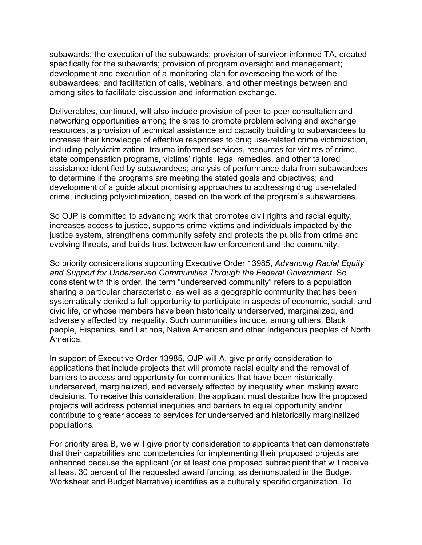subawards; the execution of the subawards; provision of survivor-informed TA, created specifically for the subawards; provision of program oversight and management; development and execution of a monitoring plan for overseeing the work of the subawardees; and facilitation of calls, webinars, and other meetings between and among sites to facilitate discussion and information exchange.

Deliverables, continued, will also include provision of peer-to-peer consultation and networking opportunities among the sites to promote problem solving and exchange resources; a provision of technical assistance and capacity building to subawardees to increase their knowledge of effective responses to drug use-related crime victimization, including polyvictimization, trauma-informed services, resources for victims of crime, state compensation programs, victims' rights, legal remedies, and other tailored assistance identified by subawardees; analysis of performance data from subawardees to determine if the programs are meeting the stated goals and objectives; and development of a guide about promising approaches to addressing drug use-related crime, including polyvictimization, based on the work of the program's subawardees.

So OJP is committed to advancing work that promotes civil rights and racial equity, increases access to justice, supports crime victims and individuals impacted by the justice system, strengthens community safety and protects the public from crime and evolving threats, and builds trust between law enforcement and the community.

So priority considerations supporting Executive Order 13985, *Advancing Racial Equity and Support for Underserved Communities Through the Federal Government*. So consistent with this order, the term "underserved community" refers to a population sharing a particular characteristic, as well as a geographic community that has been systematically denied a full opportunity to participate in aspects of economic, social, and civic life, or whose members have been historically underserved, marginalized, and adversely affected by inequality. Such communities include, among others, Black people, Hispanics, and Latinos, Native American and other Indigenous peoples of North America.

In support of Executive Order 13985, OJP will A, give priority consideration to applications that include projects that will promote racial equity and the removal of barriers to access and opportunity for communities that have been historically underserved, marginalized, and adversely affected by inequality when making award decisions. To receive this consideration, the applicant must describe how the proposed projects will address potential inequities and barriers to equal opportunity and/or contribute to greater access to services for underserved and historically marginalized populations.

For priority area B, we will give priority consideration to applicants that can demonstrate that their capabilities and competencies for implementing their proposed projects are enhanced because the applicant (or at least one proposed subrecipient that will receive at least 30 percent of the requested award funding, as demonstrated in the Budget Worksheet and Budget Narrative) identifies as a culturally specific organization. To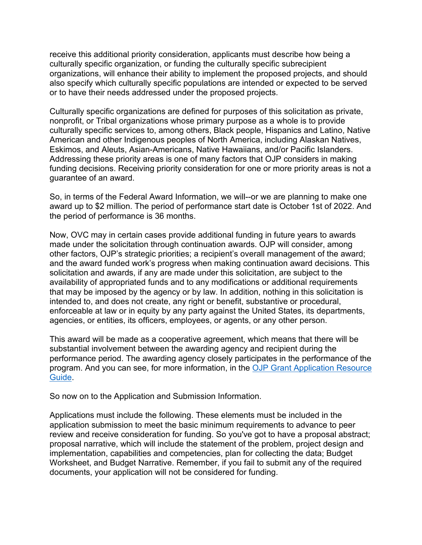receive this additional priority consideration, applicants must describe how being a culturally specific organization, or funding the culturally specific subrecipient organizations, will enhance their ability to implement the proposed projects, and should also specify which culturally specific populations are intended or expected to be served or to have their needs addressed under the proposed projects.

Culturally specific organizations are defined for purposes of this solicitation as private, nonprofit, or Tribal organizations whose primary purpose as a whole is to provide culturally specific services to, among others, Black people, Hispanics and Latino, Native American and other Indigenous peoples of North America, including Alaskan Natives, Eskimos, and Aleuts, Asian-Americans, Native Hawaiians, and/or Pacific Islanders. Addressing these priority areas is one of many factors that OJP considers in making funding decisions. Receiving priority consideration for one or more priority areas is not a guarantee of an award.

So, in terms of the Federal Award Information, we will--or we are planning to make one award up to \$2 million. The period of performance start date is October 1st of 2022. And the period of performance is 36 months.

Now, OVC may in certain cases provide additional funding in future years to awards made under the solicitation through continuation awards. OJP will consider, among other factors, OJP's strategic priorities; a recipient's overall management of the award; and the award funded work's progress when making continuation award decisions. This solicitation and awards, if any are made under this solicitation, are subject to the availability of appropriated funds and to any modifications or additional requirements that may be imposed by the agency or by law. In addition, nothing in this solicitation is intended to, and does not create, any right or benefit, substantive or procedural, enforceable at law or in equity by any party against the United States, its departments, agencies, or entities, its officers, employees, or agents, or any other person.

This award will be made as a cooperative agreement, which means that there will be substantial involvement between the awarding agency and recipient during the performance period. The awarding agency closely participates in the performance of the program. And you can see, for more information, in the [OJP Grant Application Resource](https://www.ojp.gov/funding/apply/ojp-grant-application-resource-guide)  [Guide.](https://www.ojp.gov/funding/apply/ojp-grant-application-resource-guide)

So now on to the Application and Submission Information.

Applications must include the following. These elements must be included in the application submission to meet the basic minimum requirements to advance to peer review and receive consideration for funding. So you've got to have a proposal abstract; proposal narrative, which will include the statement of the problem, project design and implementation, capabilities and competencies, plan for collecting the data; Budget Worksheet, and Budget Narrative. Remember, if you fail to submit any of the required documents, your application will not be considered for funding.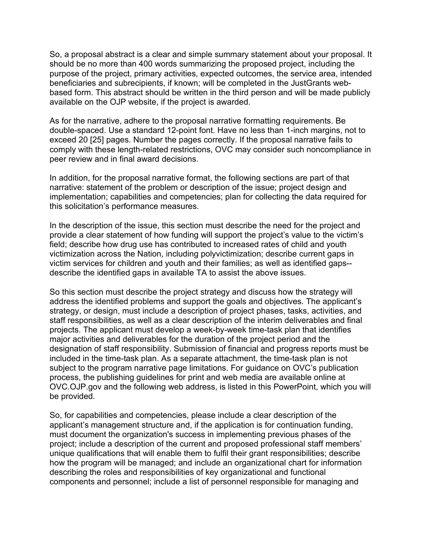So, a proposal abstract is a clear and simple summary statement about your proposal. It should be no more than 400 words summarizing the proposed project, including the purpose of the project, primary activities, expected outcomes, the service area, intended beneficiaries and subrecipients, if known; will be completed in the JustGrants webbased form. This abstract should be written in the third person and will be made publicly available on the OJP website, if the project is awarded.

As for the narrative, adhere to the proposal narrative formatting requirements. Be double-spaced. Use a standard 12-point font. Have no less than 1-inch margins, not to exceed 20 [25] pages. Number the pages correctly. If the proposal narrative fails to comply with these length-related restrictions, OVC may consider such noncompliance in peer review and in final award decisions.

In addition, for the proposal narrative format, the following sections are part of that narrative: statement of the problem or description of the issue; project design and implementation; capabilities and competencies; plan for collecting the data required for this solicitation's performance measures.

In the description of the issue, this section must describe the need for the project and provide a clear statement of how funding will support the project's value to the victim's field; describe how drug use has contributed to increased rates of child and youth victimization across the Nation, including polyvictimization; describe current gaps in victim services for children and youth and their families; as well as identified gaps- describe the identified gaps in available TA to assist the above issues.

So this section must describe the project strategy and discuss how the strategy will address the identified problems and support the goals and objectives. The applicant's strategy, or design, must include a description of project phases, tasks, activities, and staff responsibilities, as well as a clear description of the interim deliverables and final projects. The applicant must develop a week-by-week time-task plan that identifies major activities and deliverables for the duration of the project period and the designation of staff responsibility. Submission of financial and progress reports must be included in the time-task plan. As a separate attachment, the time-task plan is not subject to the program narrative page limitations. For guidance on OVC's publication process, the publishing guidelines for print and web media are available online at OVC.OJP.gov and the following web address, is listed in this PowerPoint, which you will be provided.

So, for capabilities and competencies, please include a clear description of the applicant's management structure and, if the application is for continuation funding, must document the organization's success in implementing previous phases of the project; include a description of the current and proposed professional staff members' unique qualifications that will enable them to fulfil their grant responsibilities; describe how the program will be managed; and include an organizational chart for information describing the roles and responsibilities of key organizational and functional components and personnel; include a list of personnel responsible for managing and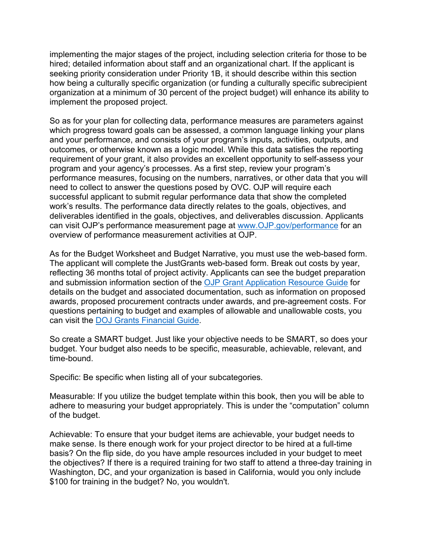implementing the major stages of the project, including selection criteria for those to be hired; detailed information about staff and an organizational chart. If the applicant is seeking priority consideration under Priority 1B, it should describe within this section how being a culturally specific organization (or funding a culturally specific subrecipient organization at a minimum of 30 percent of the project budget) will enhance its ability to implement the proposed project.

So as for your plan for collecting data, performance measures are parameters against which progress toward goals can be assessed, a common language linking your plans and your performance, and consists of your program's inputs, activities, outputs, and outcomes, or otherwise known as a logic model. While this data satisfies the reporting requirement of your grant, it also provides an excellent opportunity to self-assess your program and your agency's processes. As a first step, review your program's performance measures, focusing on the numbers, narratives, or other data that you will need to collect to answer the questions posed by OVC. OJP will require each successful applicant to submit regular performance data that show the completed work's results. The performance data directly relates to the goals, objectives, and deliverables identified in the goals, objectives, and deliverables discussion. Applicants can visit OJP's performance measurement page at [www.OJP.gov/performance](http://www.ojp.gov/performance) for an overview of performance measurement activities at OJP.

As for the Budget Worksheet and Budget Narrative, you must use the web-based form. The applicant will complete the JustGrants web-based form. Break out costs by year, reflecting 36 months total of project activity. Applicants can see the budget preparation and submission information section of the [OJP Grant Application Resource Guide](https://www.ojp.gov/funding/apply/ojp-grant-application-resource-guide) for details on the budget and associated documentation, such as information on proposed awards, proposed procurement contracts under awards, and pre-agreement costs. For questions pertaining to budget and examples of allowable and unallowable costs, you can visit the [DOJ Grants Financial Guide.](https://www.ojp.gov/funding/financialguidedoj/overview)

So create a SMART budget. Just like your objective needs to be SMART, so does your budget. Your budget also needs to be specific, measurable, achievable, relevant, and time-bound.

Specific: Be specific when listing all of your subcategories.

Measurable: If you utilize the budget template within this book, then you will be able to adhere to measuring your budget appropriately. This is under the "computation" column of the budget.

Achievable: To ensure that your budget items are achievable, your budget needs to make sense. Is there enough work for your project director to be hired at a full-time basis? On the flip side, do you have ample resources included in your budget to meet the objectives? If there is a required training for two staff to attend a three-day training in Washington, DC, and your organization is based in California, would you only include \$100 for training in the budget? No, you wouldn't.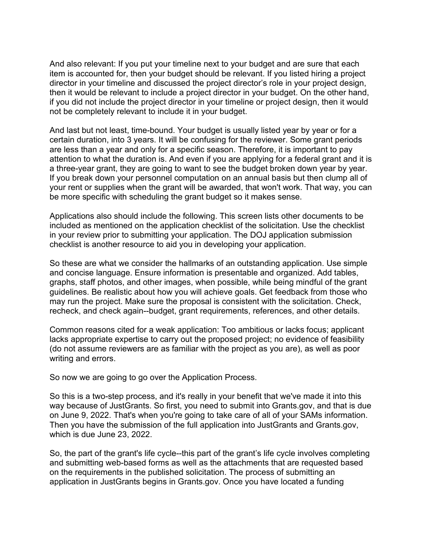And also relevant: If you put your timeline next to your budget and are sure that each item is accounted for, then your budget should be relevant. If you listed hiring a project director in your timeline and discussed the project director's role in your project design, then it would be relevant to include a project director in your budget. On the other hand, if you did not include the project director in your timeline or project design, then it would not be completely relevant to include it in your budget.

And last but not least, time-bound. Your budget is usually listed year by year or for a certain duration, into 3 years. It will be confusing for the reviewer. Some grant periods are less than a year and only for a specific season. Therefore, it is important to pay attention to what the duration is. And even if you are applying for a federal grant and it is a three-year grant, they are going to want to see the budget broken down year by year. If you break down your personnel computation on an annual basis but then clump all of your rent or supplies when the grant will be awarded, that won't work. That way, you can be more specific with scheduling the grant budget so it makes sense.

Applications also should include the following. This screen lists other documents to be included as mentioned on the application checklist of the solicitation. Use the checklist in your review prior to submitting your application. The DOJ application submission checklist is another resource to aid you in developing your application.

So these are what we consider the hallmarks of an outstanding application. Use simple and concise language. Ensure information is presentable and organized. Add tables, graphs, staff photos, and other images, when possible, while being mindful of the grant guidelines. Be realistic about how you will achieve goals. Get feedback from those who may run the project. Make sure the proposal is consistent with the solicitation. Check, recheck, and check again--budget, grant requirements, references, and other details.

Common reasons cited for a weak application: Too ambitious or lacks focus; applicant lacks appropriate expertise to carry out the proposed project; no evidence of feasibility (do not assume reviewers are as familiar with the project as you are), as well as poor writing and errors.

So now we are going to go over the Application Process.

So this is a two-step process, and it's really in your benefit that we've made it into this way because of JustGrants. So first, you need to submit into Grants.gov, and that is due on June 9, 2022. That's when you're going to take care of all of your SAMs information. Then you have the submission of the full application into JustGrants and Grants.gov, which is due June 23, 2022.

So, the part of the grant's life cycle--this part of the grant's life cycle involves completing and submitting web-based forms as well as the attachments that are requested based on the requirements in the published solicitation. The process of submitting an application in JustGrants begins in Grants.gov. Once you have located a funding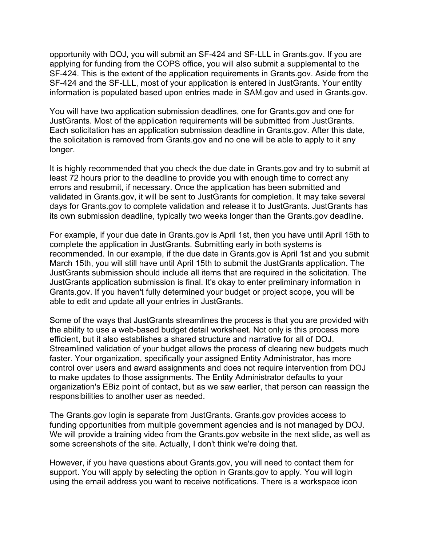opportunity with DOJ, you will submit an SF-424 and SF-LLL in Grants.gov. If you are applying for funding from the COPS office, you will also submit a supplemental to the SF-424. This is the extent of the application requirements in Grants.gov. Aside from the SF-424 and the SF-LLL, most of your application is entered in JustGrants. Your entity information is populated based upon entries made in SAM.gov and used in Grants.gov.

You will have two application submission deadlines, one for Grants.gov and one for JustGrants. Most of the application requirements will be submitted from JustGrants. Each solicitation has an application submission deadline in Grants.gov. After this date, the solicitation is removed from Grants.gov and no one will be able to apply to it any longer.

It is highly recommended that you check the due date in Grants.gov and try to submit at least 72 hours prior to the deadline to provide you with enough time to correct any errors and resubmit, if necessary. Once the application has been submitted and validated in Grants.gov, it will be sent to JustGrants for completion. It may take several days for Grants.gov to complete validation and release it to JustGrants. JustGrants has its own submission deadline, typically two weeks longer than the Grants.gov deadline.

For example, if your due date in Grants.gov is April 1st, then you have until April 15th to complete the application in JustGrants. Submitting early in both systems is recommended. In our example, if the due date in Grants.gov is April 1st and you submit March 15th, you will still have until April 15th to submit the JustGrants application. The JustGrants submission should include all items that are required in the solicitation. The JustGrants application submission is final. It's okay to enter preliminary information in Grants.gov. If you haven't fully determined your budget or project scope, you will be able to edit and update all your entries in JustGrants.

Some of the ways that JustGrants streamlines the process is that you are provided with the ability to use a web-based budget detail worksheet. Not only is this process more efficient, but it also establishes a shared structure and narrative for all of DOJ. Streamlined validation of your budget allows the process of clearing new budgets much faster. Your organization, specifically your assigned Entity Administrator, has more control over users and award assignments and does not require intervention from DOJ to make updates to those assignments. The Entity Administrator defaults to your organization's EBiz point of contact, but as we saw earlier, that person can reassign the responsibilities to another user as needed.

The Grants.gov login is separate from JustGrants. Grants.gov provides access to funding opportunities from multiple government agencies and is not managed by DOJ. We will provide a training video from the Grants.gov website in the next slide, as well as some screenshots of the site. Actually, I don't think we're doing that.

However, if you have questions about Grants.gov, you will need to contact them for support. You will apply by selecting the option in Grants.gov to apply. You will login using the email address you want to receive notifications. There is a workspace icon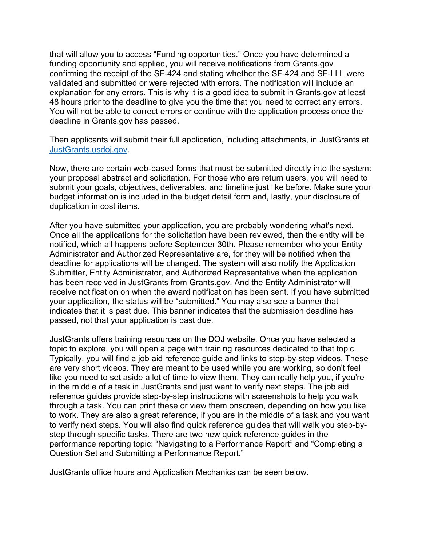that will allow you to access "Funding opportunities." Once you have determined a funding opportunity and applied, you will receive notifications from Grants.gov confirming the receipt of the SF-424 and stating whether the SF-424 and SF-LLL were validated and submitted or were rejected with errors. The notification will include an explanation for any errors. This is why it is a good idea to submit in Grants.gov at least 48 hours prior to the deadline to give you the time that you need to correct any errors. You will not be able to correct errors or continue with the application process once the deadline in Grants.gov has passed.

Then applicants will submit their full application, including attachments, in JustGrants at [JustGrants.usdoj.gov.](https://justgrants.usdoj.gov/)

Now, there are certain web-based forms that must be submitted directly into the system: your proposal abstract and solicitation. For those who are return users, you will need to submit your goals, objectives, deliverables, and timeline just like before. Make sure your budget information is included in the budget detail form and, lastly, your disclosure of duplication in cost items.

After you have submitted your application, you are probably wondering what's next. Once all the applications for the solicitation have been reviewed, then the entity will be notified, which all happens before September 30th. Please remember who your Entity Administrator and Authorized Representative are, for they will be notified when the deadline for applications will be changed. The system will also notify the Application Submitter, Entity Administrator, and Authorized Representative when the application has been received in JustGrants from Grants.gov. And the Entity Administrator will receive notification on when the award notification has been sent. If you have submitted your application, the status will be "submitted." You may also see a banner that indicates that it is past due. This banner indicates that the submission deadline has passed, not that your application is past due.

JustGrants offers training resources on the DOJ website. Once you have selected a topic to explore, you will open a page with training resources dedicated to that topic. Typically, you will find a job aid reference guide and links to step-by-step videos. These are very short videos. They are meant to be used while you are working, so don't feel like you need to set aside a lot of time to view them. They can really help you, if you're in the middle of a task in JustGrants and just want to verify next steps. The job aid reference guides provide step-by-step instructions with screenshots to help you walk through a task. You can print these or view them onscreen, depending on how you like to work. They are also a great reference, if you are in the middle of a task and you want to verify next steps. You will also find quick reference guides that will walk you step-bystep through specific tasks. There are two new quick reference guides in the performance reporting topic: "Navigating to a Performance Report" and "Completing a Question Set and Submitting a Performance Report."

JustGrants office hours and Application Mechanics can be seen below.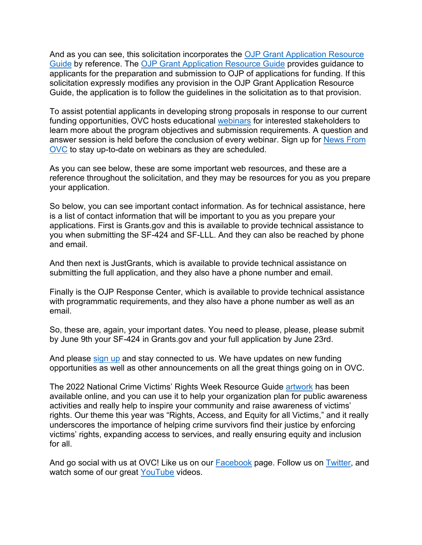And as you can see, this solicitation incorporates the [OJP Grant Application Resource](https://www.ojp.gov/funding/apply/ojp-grant-application-resource-guide)  [Guide](https://www.ojp.gov/funding/apply/ojp-grant-application-resource-guide) by reference. The [OJP Grant Application Resource Guide](https://www.ojp.gov/funding/apply/ojp-grant-application-resource-guide) provides guidance to applicants for the preparation and submission to OJP of applications for funding. If this solicitation expressly modifies any provision in the OJP Grant Application Resource Guide, the application is to follow the guidelines in the solicitation as to that provision.

To assist potential applicants in developing strong proposals in response to our current funding opportunities, OVC hosts educational [webinars](https://ovc.ojp.gov/funding/funding-webinars) for interested stakeholders to learn more about the program objectives and submission requirements. A question and answer session is held before the conclusion of every webinar. Sign up for [News From](https://ovc.ojp.gov/subscribe/news-from-ovc)  [OVC](https://ovc.ojp.gov/subscribe/news-from-ovc) to stay up-to-date on webinars as they are scheduled.

As you can see below, these are some important web resources, and these are a reference throughout the solicitation, and they may be resources for you as you prepare your application.

So below, you can see important contact information. As for technical assistance, here is a list of contact information that will be important to you as you prepare your applications. First is Grants.gov and this is available to provide technical assistance to you when submitting the SF-424 and SF-LLL. And they can also be reached by phone and email.

And then next is JustGrants, which is available to provide technical assistance on submitting the full application, and they also have a phone number and email.

Finally is the OJP Response Center, which is available to provide technical assistance with programmatic requirements, and they also have a phone number as well as an email.

So, these are, again, your important dates. You need to please, please, please submit by June 9th your SF-424 in Grants.gov and your full application by June 23rd.

And please [sign up](https://puborder.ncjrs.gov/Listservs/subscribe_newsfromovc.asp) and stay connected to us. We have updates on new funding opportunities as well as other announcements on all the great things going on in OVC.

The 2022 National Crime Victims' Rights Week Resource Guide [artwork](https://ovc.ojp.gov/ncvrw2022/ncvrw-artwork) has been available online, and you can use it to help your organization plan for public awareness activities and really help to inspire your community and raise awareness of victims' rights. Our theme this year was "Rights, Access, and Equity for all Victims," and it really underscores the importance of helping crime survivors find their justice by enforcing victims' rights, expanding access to services, and really ensuring equity and inclusion for all.

And go social with us at OVC! Like us on our [Facebook](https://www.facebook.com/OJPOVC) page. Follow us on [Twitter,](http://www.twitter/ojpovc) and watch some of our great [YouTube](https://www.youtube.com/user/OJPOVC) videos.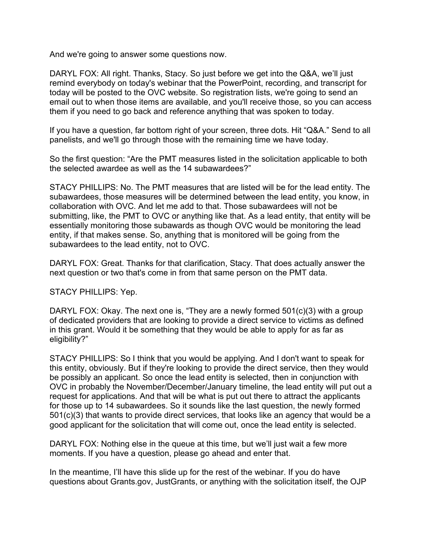And we're going to answer some questions now.

DARYL FOX: All right. Thanks, Stacy. So just before we get into the Q&A, we'll just remind everybody on today's webinar that the PowerPoint, recording, and transcript for today will be posted to the OVC website. So registration lists, we're going to send an email out to when those items are available, and you'll receive those, so you can access them if you need to go back and reference anything that was spoken to today.

If you have a question, far bottom right of your screen, three dots. Hit "Q&A." Send to all panelists, and we'll go through those with the remaining time we have today.

So the first question: "Are the PMT measures listed in the solicitation applicable to both the selected awardee as well as the 14 subawardees?"

STACY PHILLIPS: No. The PMT measures that are listed will be for the lead entity. The subawardees, those measures will be determined between the lead entity, you know, in collaboration with OVC. And let me add to that. Those subawardees will not be submitting, like, the PMT to OVC or anything like that. As a lead entity, that entity will be essentially monitoring those subawards as though OVC would be monitoring the lead entity, if that makes sense. So, anything that is monitored will be going from the subawardees to the lead entity, not to OVC.

DARYL FOX: Great. Thanks for that clarification, Stacy. That does actually answer the next question or two that's come in from that same person on the PMT data.

STACY PHILLIPS: Yep.

DARYL FOX: Okay. The next one is, "They are a newly formed 501(c)(3) with a group of dedicated providers that are looking to provide a direct service to victims as defined in this grant. Would it be something that they would be able to apply for as far as eligibility?"

STACY PHILLIPS: So I think that you would be applying. And I don't want to speak for this entity, obviously. But if they're looking to provide the direct service, then they would be possibly an applicant. So once the lead entity is selected, then in conjunction with OVC in probably the November/December/January timeline, the lead entity will put out a request for applications. And that will be what is put out there to attract the applicants for those up to 14 subawardees. So it sounds like the last question, the newly formed 501(c)(3) that wants to provide direct services, that looks like an agency that would be a good applicant for the solicitation that will come out, once the lead entity is selected.

DARYL FOX: Nothing else in the queue at this time, but we'll just wait a few more moments. If you have a question, please go ahead and enter that.

In the meantime, I'll have this slide up for the rest of the webinar. If you do have questions about Grants.gov, JustGrants, or anything with the solicitation itself, the OJP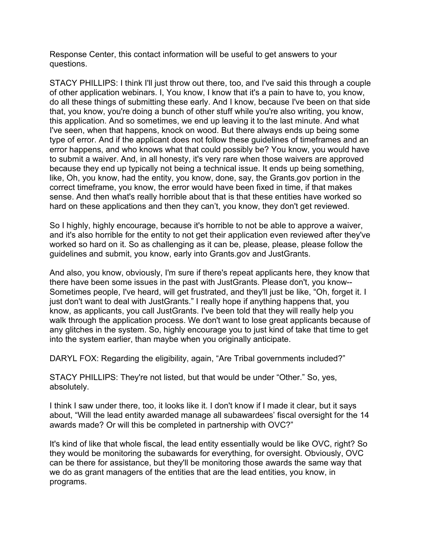Response Center, this contact information will be useful to get answers to your questions.

STACY PHILLIPS: I think I'll just throw out there, too, and I've said this through a couple of other application webinars. I, You know, I know that it's a pain to have to, you know, do all these things of submitting these early. And I know, because I've been on that side that, you know, you're doing a bunch of other stuff while you're also writing, you know, this application. And so sometimes, we end up leaving it to the last minute. And what I've seen, when that happens, knock on wood. But there always ends up being some type of error. And if the applicant does not follow these guidelines of timeframes and an error happens, and who knows what that could possibly be? You know, you would have to submit a waiver. And, in all honesty, it's very rare when those waivers are approved because they end up typically not being a technical issue. It ends up being something, like, Oh, you know, had the entity, you know, done, say, the Grants.gov portion in the correct timeframe, you know, the error would have been fixed in time, if that makes sense. And then what's really horrible about that is that these entities have worked so hard on these applications and then they can't, you know, they don't get reviewed.

So I highly, highly encourage, because it's horrible to not be able to approve a waiver, and it's also horrible for the entity to not get their application even reviewed after they've worked so hard on it. So as challenging as it can be, please, please, please follow the guidelines and submit, you know, early into Grants.gov and JustGrants.

And also, you know, obviously, I'm sure if there's repeat applicants here, they know that there have been some issues in the past with JustGrants. Please don't, you know-- Sometimes people, I've heard, will get frustrated, and they'll just be like, "Oh, forget it. I just don't want to deal with JustGrants." I really hope if anything happens that, you know, as applicants, you call JustGrants. I've been told that they will really help you walk through the application process. We don't want to lose great applicants because of any glitches in the system. So, highly encourage you to just kind of take that time to get into the system earlier, than maybe when you originally anticipate.

DARYL FOX: Regarding the eligibility, again, "Are Tribal governments included?"

STACY PHILLIPS: They're not listed, but that would be under "Other." So, yes, absolutely.

I think I saw under there, too, it looks like it. I don't know if I made it clear, but it says about, "Will the lead entity awarded manage all subawardees' fiscal oversight for the 14 awards made? Or will this be completed in partnership with OVC?"

It's kind of like that whole fiscal, the lead entity essentially would be like OVC, right? So they would be monitoring the subawards for everything, for oversight. Obviously, OVC can be there for assistance, but they'll be monitoring those awards the same way that we do as grant managers of the entities that are the lead entities, you know, in programs.